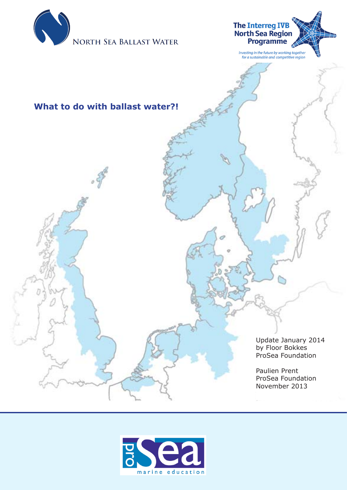



# **What to do with ballast water?!**

Update January 2014 by Floor Bokkes ProSea Foundation

Paulien Prent ProSea Foundation November 2013

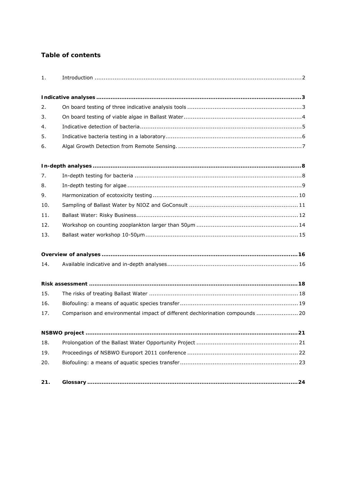# **Table of contents**

| 1.  |                                                                               |  |
|-----|-------------------------------------------------------------------------------|--|
|     |                                                                               |  |
| 2.  |                                                                               |  |
| 3.  |                                                                               |  |
| 4.  |                                                                               |  |
| 5.  |                                                                               |  |
| 6.  |                                                                               |  |
|     |                                                                               |  |
| 7.  |                                                                               |  |
| 8.  |                                                                               |  |
| 9.  |                                                                               |  |
| 10. |                                                                               |  |
| 11. |                                                                               |  |
| 12. |                                                                               |  |
| 13. |                                                                               |  |
|     |                                                                               |  |
| 14. |                                                                               |  |
|     |                                                                               |  |
| 15. |                                                                               |  |
| 16. |                                                                               |  |
| 17. | Comparison and environmental impact of different dechlorination compounds  20 |  |
|     |                                                                               |  |
| 18. |                                                                               |  |
| 19. |                                                                               |  |
| 20. |                                                                               |  |
| 21. |                                                                               |  |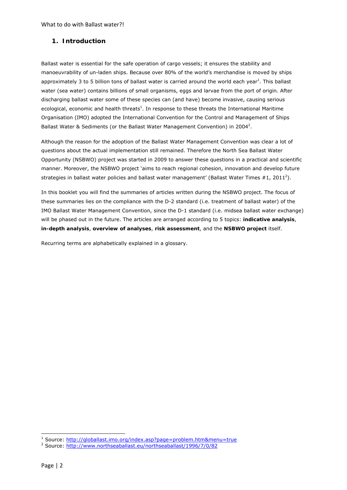### **1. Introduction**

Ballast water is essential for the safe operation of cargo vessels; it ensures the stability and manoeuvrability of un-laden ships. Because over 80% of the world's merchandise is moved by ships approximately 3 to 5 billion tons of ballast water is carried around the world each year<sup>1</sup>. This ballast water (sea water) contains billions of small organisms, eggs and larvae from the port of origin. After discharging ballast water some of these species can (and have) become invasive, causing serious ecological, economic and health threats<sup>1</sup>. In response to these threats the International Maritime Organisation (IMO) adopted the International Convention for the Control and Management of Ships Ballast Water & Sediments (or the Ballast Water Management Convention) in 2004<sup>2</sup>.

Although the reason for the adoption of the Ballast Water Management Convention was clear a lot of questions about the actual implementation still remained. Therefore the North Sea Ballast Water Opportunity (NSBWO) project was started in 2009 to answer these questions in a practical and scientific manner. Moreover, the NSBWO project 'aims to reach regional cohesion, innovation and develop future strategies in ballast water policies and ballast water management' (Ballast Water Times #1, 2011<sup>2</sup>).

In this booklet you will find the summaries of articles written during the NSBWO project. The focus of these summaries lies on the compliance with the D-2 standard (i.e. treatment of ballast water) of the IMO Ballast Water Management Convention, since the D-1 standard (i.e. midsea ballast water exchange) will be phased out in the future. The articles are arranged according to 5 topics: **indicative analysis**, **in-depth analysis**, **overview of analyses**, **risk assessment**, and the **NSBWO project** itself.

Recurring terms are alphabetically explained in a glossary.

 1 Source: http://globallast.imo.org/index.asp?page=problem.htm&menu=true 2

<sup>&</sup>lt;sup>2</sup> Source: http://www.northseaballast.eu/northseaballast/1996/7/0/82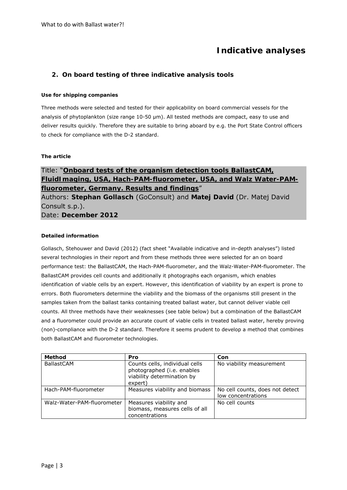# **Indicative analyses**

### **2. On board testing of three indicative analysis tools**

#### **Use for shipping companies**

Three methods were selected and tested for their applicability on board commercial vessels for the analysis of phytoplankton (size range 10-50 µm). All tested methods are compact, easy to use and deliver results quickly. Therefore they are suitable to bring aboard by e.g. the Port State Control officers to check for compliance with the D-2 standard.

#### **The article**

# Title: "**Onboard tests of the organism detection tools BallastCAM, FluidImaging, USA, Hach-PAM-fluorometer, USA, and Walz Water-PAMfluorometer, Germany. Results and findings**"

Authors: **Stephan Gollasch** (GoConsult) and **Matej David** (Dr. Matej David Consult s.p.). Date: **December 2012** 

#### **Detailed information**

Gollasch, Stehouwer and David (2012) (fact sheet "Available indicative and in-depth analyses") listed several technologies in their report and from these methods three were selected for an on board performance test: the BallastCAM, the Hach-PAM-fluorometer, and the Walz-Water-PAM-fluorometer. The BallastCAM provides cell counts and additionally it photographs each organism, which enables identification of viable cells by an expert. However, this identification of viability by an expert is prone to errors. Both fluorometers determine the viability and the biomass of the organisms still present in the samples taken from the ballast tanks containing treated ballast water, but cannot deliver viable cell counts. All three methods have their weaknesses (see table below) but a combination of the BallastCAM and a fluorometer could provide an accurate count of viable cells in treated ballast water, hereby proving (non)-compliance with the D-2 standard. Therefore it seems prudent to develop a method that combines both BallastCAM and fluorometer technologies.

| <b>Method</b>              | Pro                                                                                                   | Con                                                   |
|----------------------------|-------------------------------------------------------------------------------------------------------|-------------------------------------------------------|
| <b>BallastCAM</b>          | Counts cells, individual cells<br>photographed (i.e. enables<br>viability determination by<br>expert) | No viability measurement                              |
| Hach-PAM-fluorometer       | Measures viability and biomass                                                                        | No cell counts, does not detect<br>low concentrations |
| Walz-Water-PAM-fluorometer | Measures viability and<br>biomass, measures cells of all<br>concentrations                            | No cell counts                                        |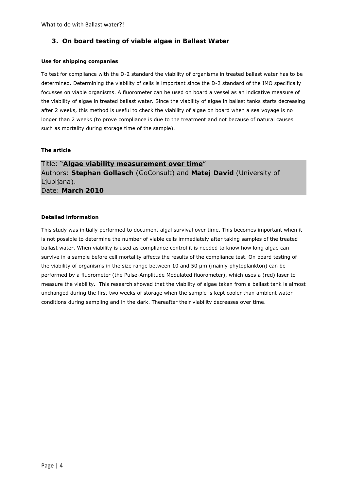## **3. On board testing of viable algae in Ballast Water**

#### **Use for shipping companies**

To test for compliance with the D-2 standard the viability of organisms in treated ballast water has to be determined. Determining the viability of cells is important since the D-2 standard of the IMO specifically focusses on viable organisms. A fluorometer can be used on board a vessel as an indicative measure of the viability of algae in treated ballast water. Since the viability of algae in ballast tanks starts decreasing after 2 weeks, this method is useful to check the viability of algae on board when a sea voyage is no longer than 2 weeks (to prove compliance is due to the treatment and not because of natural causes such as mortality during storage time of the sample).

#### **The article**

Title: "**Algae viability measurement over time**" Authors: **Stephan Gollasch** (GoConsult) and **Matej David** (University of Ljubljana). Date: **March 2010** 

#### **Detailed information**

This study was initially performed to document algal survival over time. This becomes important when it is not possible to determine the number of viable cells immediately after taking samples of the treated ballast water. When viability is used as compliance control it is needed to know how long algae can survive in a sample before cell mortality affects the results of the compliance test. On board testing of the viability of organisms in the size range between 10 and 50 µm (mainly phytoplankton) can be performed by a fluorometer (the Pulse-Amplitude Modulated fluorometer), which uses a (red) laser to measure the viability. This research showed that the viability of algae taken from a ballast tank is almost unchanged during the first two weeks of storage when the sample is kept cooler than ambient water conditions during sampling and in the dark. Thereafter their viability decreases over time.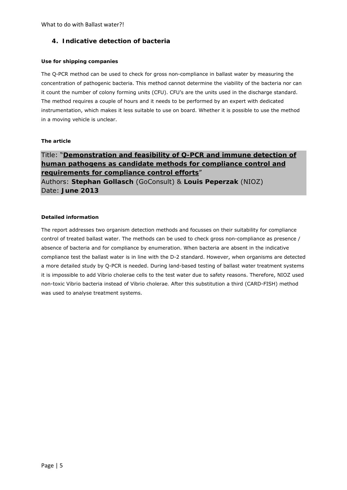## **4. Indicative detection of bacteria**

#### **Use for shipping companies**

The Q-PCR method can be used to check for gross non-compliance in ballast water by measuring the concentration of pathogenic bacteria. This method cannot determine the viability of the bacteria nor can it count the number of colony forming units (CFU). CFU's are the units used in the discharge standard. The method requires a couple of hours and it needs to be performed by an expert with dedicated instrumentation, which makes it less suitable to use on board. Whether it is possible to use the method in a moving vehicle is unclear.

#### **The article**

Title: "**Demonstration and feasibility of Q-PCR and immune detection of human pathogens as candidate methods for compliance control and requirements for compliance control efforts**" Authors: **Stephan Gollasch** (GoConsult) & **Louis Peperzak** (NIOZ) Date: **June 2013** 

#### **Detailed information**

The report addresses two organism detection methods and focusses on their suitability for compliance control of treated ballast water. The methods can be used to check gross non-compliance as presence / absence of bacteria and for compliance by enumeration. When bacteria are absent in the indicative compliance test the ballast water is in line with the D-2 standard. However, when organisms are detected a more detailed study by Q-PCR is needed. During land-based testing of ballast water treatment systems it is impossible to add *Vibrio cholerae* cells to the test water due to safety reasons. Therefore, NIOZ used non-toxic *Vibrio* bacteria instead of *Vibrio cholerae.* After this substitution a third (CARD-FISH) method was used to analyse treatment systems.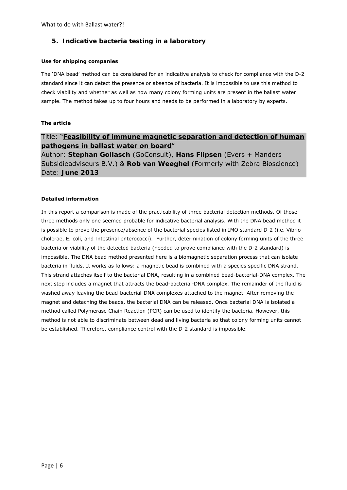## **5. Indicative bacteria testing in a laboratory**

#### **Use for shipping companies**

The 'DNA bead' method can be considered for an indicative analysis to check for compliance with the D-2 standard since it can detect the presence or absence of bacteria. It is impossible to use this method to check viability and whether as well as how many colony forming units are present in the ballast water sample. The method takes up to four hours and needs to be performed in a laboratory by experts.

#### **The article**

# Title: "**Feasibility of immune magnetic separation and detection of human pathogens in ballast water on board**"

Author: **Stephan Gollasch** (GoConsult), **Hans Flipsen** (Evers + Manders Subsidieadviseurs B.V.) & **Rob van Weeghel** (Formerly with Zebra Bioscience) Date: **June 2013** 

#### **Detailed information**

In this report a comparison is made of the practicability of three bacterial detection methods. Of those three methods only one seemed probable for indicative bacterial analysis. With the DNA bead method it is possible to prove the presence/absence of the bacterial species listed in IMO standard D-2 (i.e. *Vibrio cholerae*, *E. coli*, and *Intestinal enterococci*). Further, determination of colony forming units of the three bacteria or viability of the detected bacteria (needed to prove compliance with the D-2 standard) is impossible. The DNA bead method presented here is a biomagnetic separation process that can isolate bacteria in fluids. It works as follows: a magnetic bead is combined with a species specific DNA strand. This strand attaches itself to the bacterial DNA, resulting in a combined bead-bacterial-DNA complex. The next step includes a magnet that attracts the bead-bacterial-DNA complex. The remainder of the fluid is washed away leaving the bead-bacterial-DNA complexes attached to the magnet. After removing the magnet and detaching the beads, the bacterial DNA can be released. Once bacterial DNA is isolated a method called Polymerase Chain Reaction (PCR) can be used to identify the bacteria. However, this method is not able to discriminate between dead and living bacteria so that colony forming units cannot be established. Therefore, compliance control with the D-2 standard is impossible.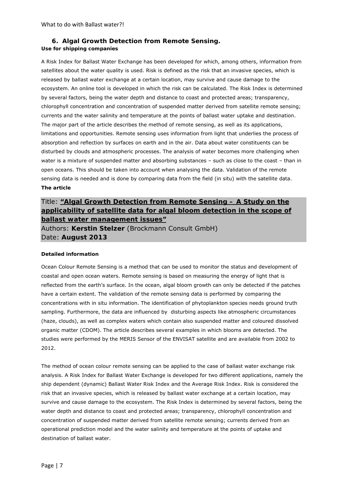# **6. Algal Growth Detection from Remote Sensing.**

#### **Use for shipping companies**

A Risk Index for Ballast Water Exchange has been developed for which, among others, information from satellites about the water quality is used. Risk is defined as the risk that an invasive species, which is released by ballast water exchange at a certain location, may survive and cause damage to the ecosystem. An online tool is developed in which the risk can be calculated. The Risk Index is determined by several factors, being the water depth and distance to coast and protected areas; transparency, chlorophyll concentration and concentration of suspended matter derived from satellite remote sensing; currents and the water salinity and temperature at the points of ballast water uptake and destination. The major part of the article describes the method of remote sensing, as well as its applications, limitations and opportunities. Remote sensing uses information from light that underlies the process of absorption and reflection by surfaces on earth and in the air. Data about water constituents can be disturbed by clouds and atmospheric processes. The analysis of water becomes more challenging when water is a mixture of suspended matter and absorbing substances – such as close to the coast – than in open oceans. This should be taken into account when analysing the data. Validation of the remote sensing data is needed and is done by comparing data from the field (in situ) with the satellite data. **The article**

# Title: **"Algal Growth Detection from Remote Sensing – A Study on the applicability of satellite data for algal bloom detection in the scope of ballast water management issues"**

Authors: **Kerstin Stelzer** (Brockmann Consult GmbH) Date: **August 2013**

#### **Detailed information**

Ocean Colour Remote Sensing is a method that can be used to monitor the status and development of coastal and open ocean waters. Remote sensing is based on measuring the energy of light that is reflected from the earth's surface. In the ocean, algal bloom growth can only be detected if the patches have a certain extent. The validation of the remote sensing data is performed by comparing the concentrations with in situ information. The identification of phytoplankton species needs ground truth sampling. Furthermore, the data are influenced by disturbing aspects like atmospheric circumstances (haze, clouds), as well as complex waters which contain also suspended matter and coloured dissolved organic matter (CDOM). The article describes several examples in which blooms are detected. The studies were performed by the MERIS Sensor of the ENVISAT satellite and are available from 2002 to 2012.

The method of ocean colour remote sensing can be applied to the case of ballast water exchange risk analysis. A Risk Index for Ballast Water Exchange is developed for two different applications, namely the ship dependent (dynamic) Ballast Water Risk Index and the Average Risk Index. Risk is considered the risk that an invasive species, which is released by ballast water exchange at a certain location, may survive and cause damage to the ecosystem. The Risk Index is determined by several factors, being the water depth and distance to coast and protected areas; transparency, chlorophyll concentration and concentration of suspended matter derived from satellite remote sensing; currents derived from an operational prediction model and the water salinity and temperature at the points of uptake and destination of ballast water.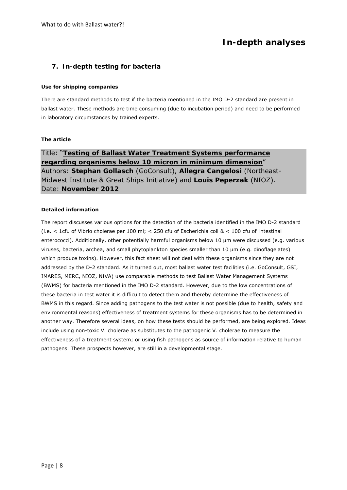# **In-depth analyses**

### **7. In-depth testing for bacteria**

#### **Use for shipping companies**

There are standard methods to test if the bacteria mentioned in the IMO D-2 standard are present in ballast water. These methods are time consuming (due to incubation period) and need to be performed in laboratory circumstances by trained experts.

#### **The article**

Title: "**Testing of Ballast Water Treatment Systems performance regarding organisms below 10 micron in minimum dimension**" Authors: **Stephan Gollasch** (GoConsult), **Allegra Cangelosi** (Northeast-Midwest Institute & Great Ships Initiative) and **Louis Peperzak** (NIOZ). Date: **November 2012** 

#### **Detailed information**

The report discusses various options for the detection of the bacteria identified in the IMO D-2 standard (i.e. < 1cfu of *Vibrio cholerae* per 100 ml; < 250 cfu of *Escherichia coli* & < 100 cfu of *Intestinal enterococci*). Additionally, other potentially harmful organisms below 10 µm were discussed (e.g. various viruses, bacteria, archea, and small phytoplankton species smaller than 10 µm (e.g. dinoflagelates) which produce toxins). However, this fact sheet will not deal with these organisms since they are not addressed by the D-2 standard. As it turned out, most ballast water test facilities (i.e. GoConsult, GSI, IMARES, MERC, NIOZ, NIVA) use comparable methods to test Ballast Water Management Systems (BWMS) for bacteria mentioned in the IMO D-2 standard. However, due to the low concentrations of these bacteria in test water it is difficult to detect them and thereby determine the effectiveness of BWMS in this regard. Since adding pathogens to the test water is not possible (due to health, safety and environmental reasons) effectiveness of treatment systems for these organisms has to be determined in another way. Therefore several ideas, on how these tests should be performed, are being explored. Ideas include using non-toxic *V. cholerae* as substitutes to the pathogenic *V. cholerae* to measure the effectiveness of a treatment system; or using fish pathogens as source of information relative to human pathogens. These prospects however, are still in a developmental stage.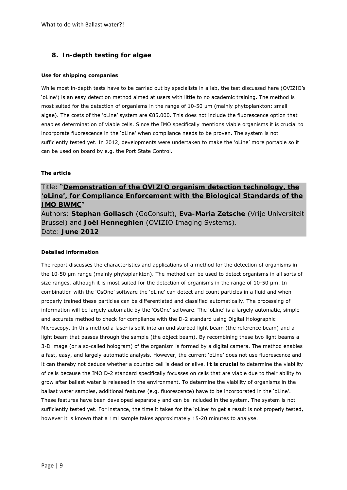## **8. In-depth testing for algae**

#### **Use for shipping companies**

While most in-depth tests have to be carried out by specialists in a lab, the test discussed here (OVIZIO's 'oLine') is an easy detection method aimed at users with little to no academic training. The method is most suited for the detection of organisms in the range of 10-50 µm (mainly phytoplankton: small algae). The costs of the 'oLine' system are €85,000. This does not include the fluorescence option that enables determination of viable cells. Since the IMO specifically mentions viable organisms it is crucial to incorporate fluorescence in the 'oLine' when compliance needs to be proven. The system is not sufficiently tested yet. In 2012, developments were undertaken to make the 'oLine' more portable so it can be used on board by e.g. the Port State Control.

#### **The article**

# Title: "**Demonstration of the OVIZIO organism detection technology, the 'oLine', for Compliance Enforcement with the Biological Standards of the IMO BWMC**"

Authors: **Stephan Gollasch** (GoConsult), **Eva-Maria Zetsche** (Vrije Universiteit Brussel) and **Joël Henneghien** (OVIZIO Imaging Systems). Date: **June 2012** 

#### **Detailed information**

The report discusses the characteristics and applications of a method for the detection of organisms in the 10-50 µm range (mainly phytoplankton). The method can be used to detect organisms in all sorts of size ranges, although it is most suited for the detection of organisms in the range of 10-50  $\mu$ m. In combination with the 'OsOne' software the 'oLine' can detect and count particles in a fluid and when properly trained these particles can be differentiated and classified automatically. The processing of information will be largely automatic by the 'OsOne' software. The 'oLine' is a largely automatic, simple and accurate method to check for compliance with the D-2 standard using Digital Holographic Microscopy. In this method a laser is split into an undisturbed light beam (the reference beam) and a light beam that passes through the sample (the object beam). By recombining these two light beams a 3-D image (or a so-called hologram) of the organism is formed by a digital camera. The method enables a fast, easy, and largely automatic analysis. However, the current 'oLine' does not use fluorescence and it can thereby not deduce whether a counted cell is dead or alive. **It is crucial** to determine the viability of cells because the IMO D-2 standard specifically focusses on cells that are viable due to their ability to grow after ballast water is released in the environment. To determine the viability of organisms in the ballast water samples, additional features (e.g. fluorescence) have to be incorporated in the 'oLine'. These features have been developed separately and can be included in the system. The system is not sufficiently tested yet. For instance, the time it takes for the 'oLine' to get a result is not properly tested, however it is known that a 1ml sample takes approximately 15-20 minutes to analyse.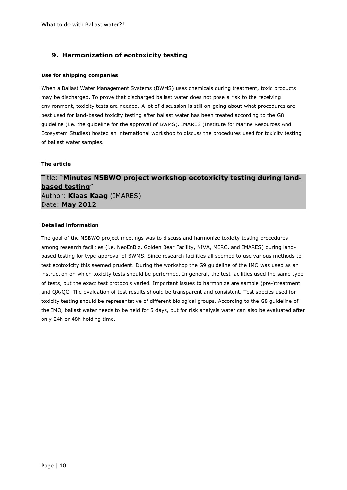# **9. Harmonization of ecotoxicity testing**

#### **Use for shipping companies**

When a Ballast Water Management Systems (BWMS) uses chemicals during treatment, toxic products may be discharged. To prove that discharged ballast water does not pose a risk to the receiving environment, toxicity tests are needed. A lot of discussion is still on-going about what procedures are best used for land-based toxicity testing after ballast water has been treated according to the G8 guideline (i.e. the guideline for the approval of BWMS). IMARES (Institute for Marine Resources And Ecosystem Studies) hosted an international workshop to discuss the procedures used for toxicity testing of ballast water samples.

#### **The article**

# Title: "**Minutes NSBWO project workshop ecotoxicity testing during landbased testing**" Author: **Klaas Kaag** (IMARES) Date: **May 2012**

#### **Detailed information**

The goal of the NSBWO project meetings was to discuss and harmonize toxicity testing procedures among research facilities (i.e. NeoEnBiz, Golden Bear Facility, NIVA, MERC, and IMARES) during landbased testing for type-approval of BWMS. Since research facilities all seemed to use various methods to test ecotoxicity this seemed prudent. During the workshop the G9 guideline of the IMO was used as an instruction on which toxicity tests should be performed. In general, the test facilities used the same type of tests, but the exact test protocols varied. Important issues to harmonize are sample (pre-)treatment and QA/QC. The evaluation of test results should be transparent and consistent. Test species used for toxicity testing should be representative of different biological groups. According to the G8 guideline of the IMO, ballast water needs to be held for 5 days, but for risk analysis water can also be evaluated after only 24h or 48h holding time.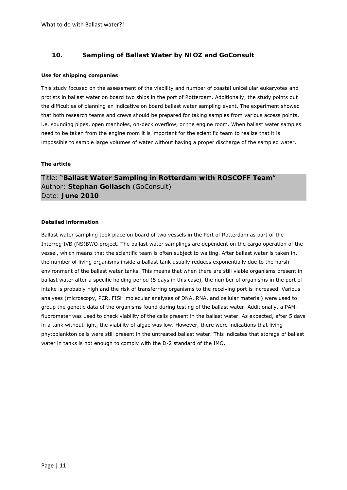## **10. Sampling of Ballast Water by NIOZ and GoConsult**

#### **Use for shipping companies**

This study focused on the assessment of the viability and number of coastal unicellular eukaryotes and protists in ballast water on board two ships in the port of Rotterdam. Additionally, the study points out the difficulties of planning an indicative on board ballast water sampling event. The experiment showed that both research teams and crews should be prepared for taking samples from various access points, i.e. sounding pipes, open manholes, on-deck overflow, or the engine room. When ballast water samples need to be taken from the engine room it is important for the scientific team to realize that it is impossible to sample large volumes of water without having a proper discharge of the sampled water.

#### **The article**

Title: "**Ballast Water Sampling in Rotterdam with ROSCOFF Team**" Author: **Stephan Gollasch** (GoConsult) Date: **June 2010** 

#### **Detailed information**

Ballast water sampling took place on board of two vessels in the Port of Rotterdam as part of the Interreg IVB (NS)BWO project. The ballast water samplings are dependent on the cargo operation of the vessel, which means that the scientific team is often subject to waiting. After ballast water is taken in, the number of living organisms inside a ballast tank usually reduces exponentially due to the harsh environment of the ballast water tanks. This means that when there are still viable organisms present in ballast water after a specific holding period (5 days in this case), the number of organisms in the port of intake is probably high and the risk of transferring organisms to the receiving port is increased. Various analyses (microscopy, PCR, FISH molecular analyses of DNA, RNA, and cellular material) were used to group the genetic data of the organisms found during testing of the ballast water. Additionally, a PAMfluorometer was used to check viability of the cells present in the ballast water. As expected, after 5 days in a tank without light, the viability of algae was low. However, there were indications that living phytoplankton cells were still present in the untreated ballast water. This indicates that storage of ballast water in tanks is not enough to comply with the D-2 standard of the IMO.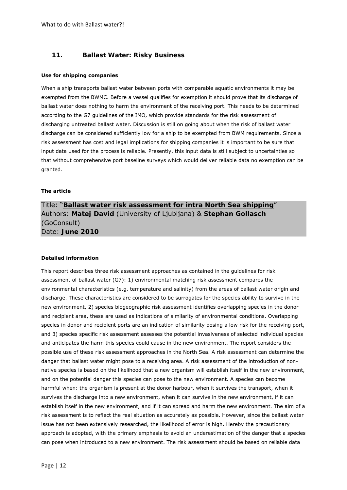### **11. Ballast Water: Risky Business**

#### **Use for shipping companies**

When a ship transports ballast water between ports with comparable aquatic environments it may be exempted from the BWMC. Before a vessel qualifies for exemption it should prove that its discharge of ballast water does nothing to harm the environment of the receiving port. This needs to be determined according to the G7 guidelines of the IMO, which provide standards for the risk assessment of discharging untreated ballast water. Discussion is still on going about when the risk of ballast water discharge can be considered sufficiently low for a ship to be exempted from BWM requirements. Since a risk assessment has cost and legal implications for shipping companies it is important to be sure that input data used for the process is reliable. Presently, this input data is still subject to uncertainties so that without comprehensive port baseline surveys which would deliver reliable data no exemption can be granted.

#### **The article**

# Title: "**Ballast water risk assessment for intra North Sea shipping**" Authors: **Matej David** (University of Ljubljana) & **Stephan Gollasch** (GoConsult) Date: **June 2010**

#### **Detailed information**

This report describes three risk assessment approaches as contained in the guidelines for risk assessment of ballast water (G7): 1) environmental matching risk assessment compares the environmental characteristics (e.g. temperature and salinity) from the areas of ballast water origin and discharge. These characteristics are considered to be surrogates for the species ability to survive in the new environment, 2) species biogeographic risk assessment identifies overlapping species in the donor and recipient area, these are used as indications of similarity of environmental conditions. Overlapping species in donor and recipient ports are an indication of similarity posing a low risk for the receiving port, and 3) species specific risk assessment assesses the potential invasiveness of selected individual species and anticipates the harm this species could cause in the new environment. The report considers the possible use of these risk assessment approaches in the North Sea. A risk assessment can determine the danger that ballast water might pose to a receiving area. A risk assessment of the introduction of nonnative species is based on the likelihood that a new organism will establish itself in the new environment, and on the potential danger this species can pose to the new environment. A species can become harmful when: the organism is present at the donor harbour, when it survives the transport, when it survives the discharge into a new environment, when it can survive in the new environment, if it can establish itself in the new environment, and if it can spread and harm the new environment. The aim of a risk assessment is to reflect the real situation as accurately as possible. However, since the ballast water issue has not been extensively researched, the likelihood of error is high. Hereby the precautionary approach is adopted, with the primary emphasis to avoid an underestimation of the danger that a species can pose when introduced to a new environment. The risk assessment should be based on reliable data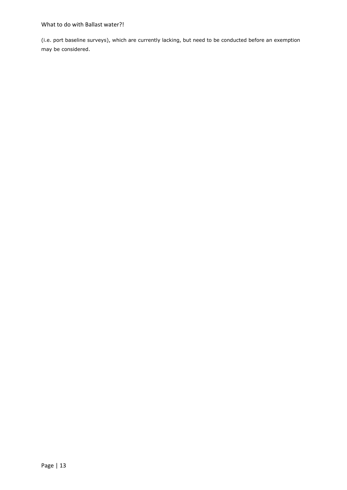### What to do with Ballast water?!

(i.e. port baseline surveys), which are currently lacking, but need to be conducted before an exemption may be considered.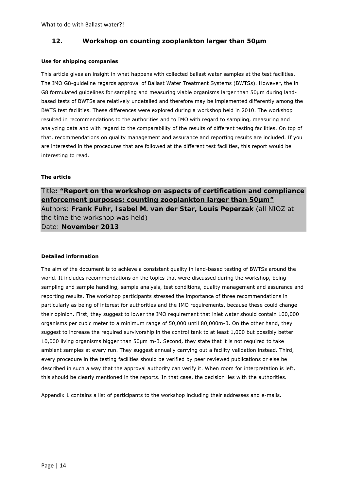## **12. Workshop on counting zooplankton larger than 50µm**

#### **Use for shipping companies**

This article gives an insight in what happens with collected ballast water samples at the test facilities. The IMO G8-guideline regards approval of Ballast Water Treatment Systems (BWTSs). However, the in G8 formulated guidelines for sampling and measuring viable organisms larger than 50µm during landbased tests of BWTSs are relatively undetailed and therefore may be implemented differently among the BWTS test facilities. These differences were explored during a workshop held in 2010. The workshop resulted in recommendations to the authorities and to IMO with regard to sampling, measuring and analyzing data and with regard to the comparability of the results of different testing facilities. On top of that, recommendations on quality management and assurance and reporting results are included. If you are interested in the procedures that are followed at the different test facilities, this report would be interesting to read.

#### **The article**

Title**: "Report on the workshop on aspects of certification and compliance enforcement purposes: counting zooplankton larger than 50µm"**  Authors: **Frank Fuhr, Isabel M. van der Star, Louis Peperzak** (all NIOZ at the time the workshop was held) Date: **November 2013**

#### **Detailed information**

The aim of the document is to achieve a consistent quality in land-based testing of BWTSs around the world. It includes recommendations on the topics that were discussed during the workshop, being sampling and sample handling, sample analysis, test conditions, quality management and assurance and reporting results. The workshop participants stressed the importance of three recommendations in particularly as being of interest for authorities and the IMO requirements, because these could change their opinion. First, they suggest to lower the IMO requirement that inlet water should contain 100,000 organisms per cubic meter to a minimum range of 50,000 until 80,000m-3. On the other hand, they suggest to increase the required survivorship in the control tank to at least 1,000 but possibly better 10,000 living organisms bigger than 50µm m-3. Second, they state that it is not required to take ambient samples at every run. They suggest annually carrying out a facility validation instead. Third, every procedure in the testing facilities should be verified by peer reviewed publications or else be described in such a way that the approval authority can verify it. When room for interpretation is left, this should be clearly mentioned in the reports. In that case, the decision lies with the authorities.

Appendix 1 contains a list of participants to the workshop including their addresses and e-mails.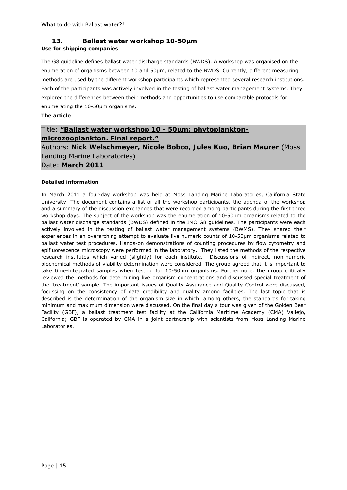# **13. Ballast water workshop 10-50µm**

### **Use for shipping companies**

The G8 guideline defines ballast water discharge standards (BWDS). A workshop was organised on the enumeration of organisms between 10 and 50µm, related to the BWDS. Currently, different measuring methods are used by the different workshop participants which represented several research institutions. Each of the participants was actively involved in the testing of ballast water management systems. They explored the differences between their methods and opportunities to use comparable protocols for enumerating the 10-50µm organisms.

### **The article**

# Title: **"Ballast water workshop 10 - 50µm: phytoplanktonmicrozooplankton. Final report."**

Authors: **Nick Welschmeyer, Nicole Bobco, Jules Kuo, Brian Maurer** (Moss Landing Marine Laboratories)

Date: **March 2011**

#### **Detailed information**

In March 2011 a four-day workshop was held at Moss Landing Marine Laboratories, California State University. The document contains a list of all the workshop participants, the agenda of the workshop and a summary of the discussion exchanges that were recorded among participants during the first three workshop days. The subject of the workshop was the enumeration of 10-50µm organisms related to the ballast water discharge standards (BWDS) defined in the IMO G8 guidelines. The participants were each actively involved in the testing of ballast water management systems (BWMS). They shared their experiences in an overarching attempt to evaluate live numeric counts of 10-50µm organisms related to ballast water test procedures. Hands-on demonstrations of counting procedures by flow cytometry and epifluorescence microscopy were performed in the laboratory. They listed the methods of the respective research institutes which varied (slightly) for each institute. Discussions of indirect, non-numeric biochemical methods of viability determination were considered. The group agreed that it is important to take time-integrated samples when testing for 10-50µm organisms. Furthermore, the group critically reviewed the methods for determining live organism concentrations and discussed special treatment of the 'treatment' sample. The important issues of Quality Assurance and Quality Control were discussed, focussing on the consistency of data credibility and quality among facilities. The last topic that is described is the determination of the organism size in which, among others, the standards for taking minimum and maximum dimension were discussed. On the final day a tour was given of the Golden Bear Facility (GBF), a ballast treatment test facility at the California Maritime Academy (CMA) Vallejo, California; GBF is operated by CMA in a joint partnership with scientists from Moss Landing Marine Laboratories.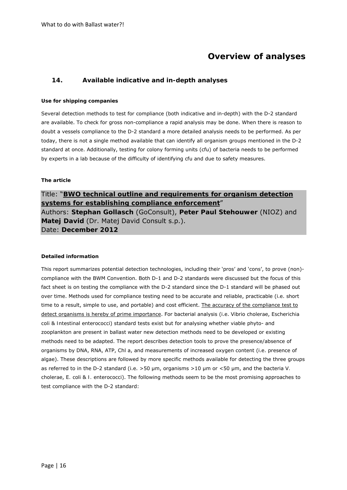# **Overview of analyses**

### **14. Available indicative and in-depth analyses**

#### **Use for shipping companies**

Several detection methods to test for compliance (both indicative and in-depth) with the D-2 standard are available. To check for gross non-compliance a rapid analysis may be done. When there is reason to doubt a vessels compliance to the D-2 standard a more detailed analysis needs to be performed. As per today, there is not a single method available that can identify all organism groups mentioned in the D-2 standard at once. Additionally, testing for colony forming units (cfu) of bacteria needs to be performed by experts in a lab because of the difficulty of identifying cfu and due to safety measures.

#### **The article**

Title: "**BWO technical outline and requirements for organism detection systems for establishing compliance enforcement**" Authors: **Stephan Gollasch** (GoConsult), **Peter Paul Stehouwer** (NIOZ) and **Matej David** (Dr. Matej David Consult s.p.). Date: **December 2012** 

#### **Detailed information**

This report summarizes potential detection technologies, including their 'pros' and 'cons', to prove (non) compliance with the BWM Convention. Both D-1 and D-2 standards were discussed but the focus of this fact sheet is on testing the compliance with the D-2 standard since the D-1 standard will be phased out over time. Methods used for compliance testing need to be accurate and reliable, practicable (i.e. short time to a result, simple to use, and portable) and cost efficient. The accuracy of the compliance test to detect organisms is hereby of prime importance. For bacterial analysis (i.e. *Vibrio cholerae*, *Escherichia coli* & *Intestinal enterococci*) standard tests exist but for analysing whether viable phyto- and zooplankton are present in ballast water new detection methods need to be developed or existing methods need to be adapted. The report describes detection tools to prove the presence/absence of organisms by DNA, RNA, ATP, Chl a, and measurements of increased oxygen content (i.e. presence of algae). These descriptions are followed by more specific methods available for detecting the three groups as referred to in the D-2 standard (i.e. >50 µm, organisms >10 µm or <50 µm, and the bacteria *V. cholerae*, *E. coli* & *I. enterococci*). The following methods seem to be the most promising approaches to test compliance with the D-2 standard: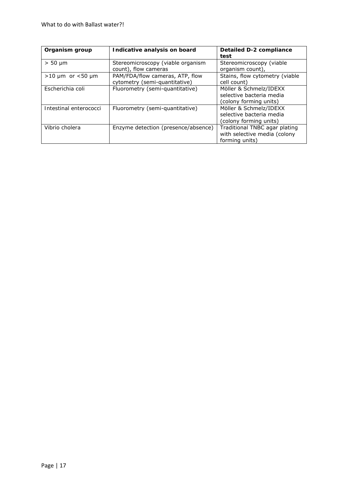| Organism group              | Indicative analysis on board                                     | Detailed D-2 compliance<br>test                                                 |
|-----------------------------|------------------------------------------------------------------|---------------------------------------------------------------------------------|
| $> 50 \mu m$                | Stereomicroscopy (viable organism<br>count), flow cameras        | Stereomicroscopy (viable<br>organism count),                                    |
| $>10 \mu m$ or $< 50 \mu m$ | PAM/FDA/flow cameras, ATP, flow<br>cytometry (semi-quantitative) | Stains, flow cytometry (viable<br>cell count)                                   |
| Escherichia coli            | Fluorometry (semi-quantitative)                                  | Möller & Schmelz/IDEXX<br>selective bacteria media<br>(colony forming units)    |
| Intestinal enterococci      | Fluorometry (semi-quantitative)                                  | Möller & Schmelz/IDEXX<br>selective bacteria media<br>(colony forming units)    |
| Vibrio cholera              | Enzyme detection (presence/absence)                              | Traditional TNBC agar plating<br>with selective media (colony<br>forming units) |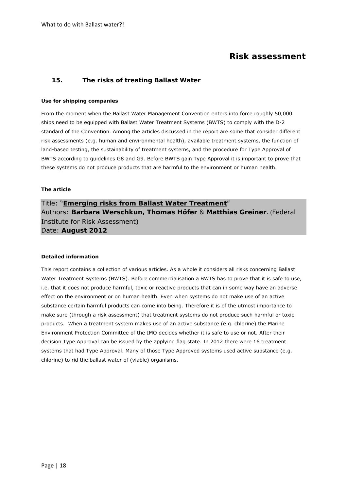# **Risk assessment**

### **15. The risks of treating Ballast Water**

#### **Use for shipping companies**

From the moment when the Ballast Water Management Convention enters into force roughly 50,000 ships need to be equipped with Ballast Water Treatment Systems (BWTS) to comply with the D-2 standard of the Convention. Among the articles discussed in the report are some that consider different risk assessments (e.g. human and environmental health), available treatment systems, the function of land-based testing, the sustainability of treatment systems, and the procedure for Type Approval of BWTS according to guidelines G8 and G9. Before BWTS gain Type Approval it is important to prove that these systems do not produce products that are harmful to the environment or human health.

#### **The article**

# Title: "**Emerging risks from Ballast Water Treatment**" Authors: **Barbara Werschkun, Thomas Höfer** & **Matthias Greiner**. (Federal Institute for Risk Assessment) Date: **August 2012**

#### **Detailed information**

This report contains a collection of various articles. As a whole it considers all risks concerning Ballast Water Treatment Systems (BWTS). Before commercialisation a BWTS has to prove that it is safe to use, i.e. that it does not produce harmful, toxic or reactive products that can in some way have an adverse effect on the environment or on human health. Even when systems do not make use of an active substance certain harmful products can come into being. Therefore it is of the utmost importance to make sure (through a risk assessment) that treatment systems do not produce such harmful or toxic products. When a treatment system makes use of an active substance (e.g. chlorine) the Marine Environment Protection Committee of the IMO decides whether it is safe to use or not. After their decision Type Approval can be issued by the applying flag state. In 2012 there were 16 treatment systems that had Type Approval. Many of those Type Approved systems used active substance (e.g. chlorine) to rid the ballast water of (viable) organisms.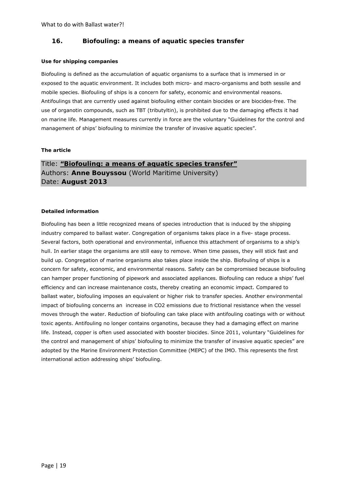### **16. Biofouling: a means of aquatic species transfer**

#### **Use for shipping companies**

Biofouling is defined as the accumulation of aquatic organisms to a surface that is immersed in or exposed to the aquatic environment. It includes both micro- and macro-organisms and both sessile and mobile species. Biofouling of ships is a concern for safety, economic and environmental reasons. Antifoulings that are currently used against biofouling either contain biocides or are biocides-free. The use of organotin compounds, such as TBT (tributyltin), is prohibited due to the damaging effects it had on marine life. Management measures currently in force are the voluntary "Guidelines for the control and management of ships' biofouling to minimize the transfer of invasive aquatic species".

#### **The article**

Title: **"Biofouling: a means of aquatic species transfer"** Authors: **Anne Bouyssou** (World Maritime University) Date: **August 2013**

#### **Detailed information**

Biofouling has been a little recognized means of species introduction that is induced by the shipping industry compared to ballast water. Congregation of organisms takes place in a five- stage process. Several factors, both operational and environmental, influence this attachment of organisms to a ship's hull. In earlier stage the organisms are still easy to remove. When time passes, they will stick fast and build up. Congregation of marine organisms also takes place inside the ship. Biofouling of ships is a concern for safety, economic, and environmental reasons. Safety can be compromised because biofouling can hamper proper functioning of pipework and associated appliances. Biofouling can reduce a ships' fuel efficiency and can increase maintenance costs, thereby creating an economic impact. Compared to ballast water, biofouling imposes an equivalent or higher risk to transfer species. Another environmental impact of biofouling concerns an increase in CO2 emissions due to frictional resistance when the vessel moves through the water. Reduction of biofouling can take place with antifouling coatings with or without toxic agents. Antifouling no longer contains organotins, because they had a damaging effect on marine life. Instead, copper is often used associated with booster biocides. Since 2011, voluntary "Guidelines for the control and management of ships' biofouling to minimize the transfer of invasive aquatic species" are adopted by the Marine Environment Protection Committee (MEPC) of the IMO. This represents the first international action addressing ships' biofouling.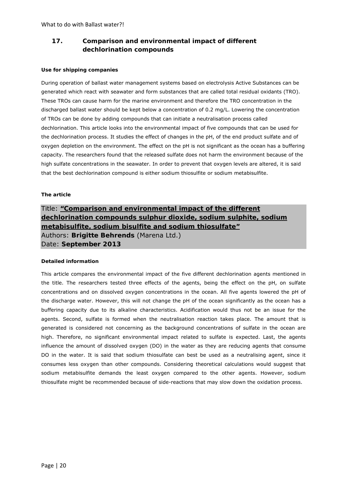# **17. Comparison and environmental impact of different dechlorination compounds**

#### **Use for shipping companies**

During operation of ballast water management systems based on electrolysis Active Substances can be generated which react with seawater and form substances that are called total residual oxidants (TRO). These TROs can cause harm for the marine environment and therefore the TRO concentration in the discharged ballast water should be kept below a concentration of 0.2 mg/L. Lowering the concentration of TROs can be done by adding compounds that can initiate a neutralisation process called dechlorination. This article looks into the environmental impact of five compounds that can be used for the dechlorination process. It studies the effect of changes in the pH, of the end product sulfate and of oxygen depletion on the environment. The effect on the pH is not significant as the ocean has a buffering capacity. The researchers found that the released sulfate does not harm the environment because of the high sulfate concentrations in the seawater. In order to prevent that oxygen levels are altered, it is said that the best dechlorination compound is either sodium thiosulfite or sodium metabisulfite.

#### **The article**

# Title: **"Comparison and environmental impact of the different dechlorination compounds sulphur dioxide, sodium sulphite, sodium metabisulfite, sodium bisulfite and sodium thiosulfate"** Authors: **Brigitte Behrends** (Marena Ltd.) Date: **September 2013**

#### **Detailed information**

This article compares the environmental impact of the five different dechlorination agents mentioned in the title. The researchers tested three effects of the agents, being the effect on the pH, on sulfate concentrations and on dissolved oxygen concentrations in the ocean. All five agents lowered the pH of the discharge water. However, this will not change the pH of the ocean significantly as the ocean has a buffering capacity due to its alkaline characteristics. Acidification would thus not be an issue for the agents. Second, sulfate is formed when the neutralisation reaction takes place. The amount that is generated is considered not concerning as the background concentrations of sulfate in the ocean are high. Therefore, no significant environmental impact related to sulfate is expected. Last, the agents influence the amount of dissolved oxygen (DO) in the water as they are reducing agents that consume DO in the water. It is said that sodium thiosulfate can best be used as a neutralising agent, since it consumes less oxygen than other compounds. Considering theoretical calculations would suggest that sodium metabisulfite demands the least oxygen compared to the other agents. However, sodium thiosulfate might be recommended because of side-reactions that may slow down the oxidation process.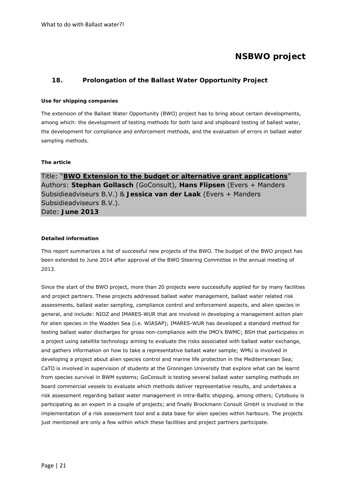# **NSBWO project**

## **18. Prolongation of the Ballast Water Opportunity Project**

#### **Use for shipping companies**

The extension of the Ballast Water Opportunity (BWO) project has to bring about certain developments, among which: the development of testing methods for both land and shipboard testing of ballast water, the development for compliance and enforcement methods, and the evaluation of errors in ballast water sampling methods.

#### **The article**

Title: "**BWO Extension to the budget or alternative grant applications**" Authors: **Stephan Gollasch** (GoConsult), **Hans Flipsen** (Evers + Manders Subsidieadviseurs B.V.) & **Jessica van der Laak** (Evers + Manders Subsidieadviseurs B.V.). Date: **June 2013** 

#### **Detailed information**

This report summarizes a list of successful new projects of the BWO. The budget of the BWO project has been extended to June 2014 after approval of the BWO Steering Committee in the annual meeting of 2013.

Since the start of the BWO project, more than 20 projects were successfully applied for by many facilities and project partners. These projects addressed ballast water management, ballast water related risk assessments, ballast water sampling, compliance control and enforcement aspects, and alien species in general, and include: NIOZ and IMARES-WUR that are involved in developing a management action plan for alien species in the Wadden Sea (i.e. WIASAP); IMARES-WUR has developed a standard method for testing ballast water discharges for gross non-compliance with the IMO's BWMC; BSH that participates in a project using satellite technology aiming to evaluate the risks associated with ballast water exchange, and gathers information on how to take a representative ballast water sample; WMU is involved in developing a project about alien species control and marine life protection in the Mediterranean Sea; CaTO is involved in supervision of students at the Groningen University that explore what can be learnt from species survival in BWM systems; GoConsult is testing several ballast water sampling methods on board commercial vessels to evaluate which methods deliver representative results, and undertakes a risk assessment regarding ballast water management in intra-Baltic shipping, among others; Cytobuoy is participating as an expert in a couple of projects; and finally Brockmann Consult GmbH is involved in the implementation of a risk assessment tool and a data base for alien species within harbours. The projects just mentioned are only a few within which these facilities and project partners participate.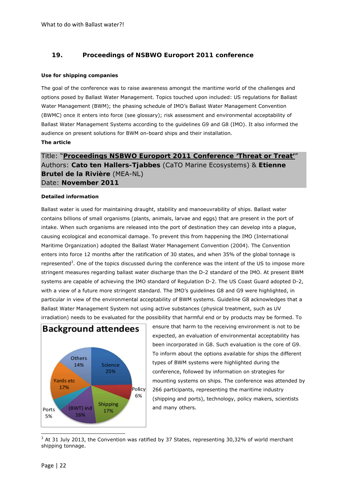# **19. Proceedings of NSBWO Europort 2011 conference**

#### **Use for shipping companies**

The goal of the conference was to raise awareness amongst the maritime world of the challenges and options posed by Ballast Water Management. Topics touched upon included: US regulations for Ballast Water Management (BWM); the phasing schedule of IMO's Ballast Water Management Convention (BWMC) once it enters into force (see glossary); risk assessment and environmental acceptability of Ballast Water Management Systems according to the guidelines G9 and G8 (IMO). It also informed the audience on present solutions for BWM on-board ships and their installation. **The article**

# Title: "**Proceedings NSBWO Europort 2011 Conference 'Threat or Treat'**" Authors: **Cato ten Hallers-Tjabbes** (CaTO Marine Ecosystems) & **Etienne Brutel de la Rivière** (MEA-NL) Date: **November 2011**

#### **Detailed information**

Ballast water is used for maintaining draught, stability and manoeuvrability of ships. Ballast water contains billions of small organisms (plants, animals, larvae and eggs) that are present in the port of intake. When such organisms are released into the port of destination they can develop into a plague, causing ecological and economical damage. To prevent this from happening the IMO (International Maritime Organization) adopted the Ballast Water Management Convention (2004). The Convention enters into force 12 months after the ratification of 30 states, and when 35% of the global tonnage is represented<sup>3</sup>. One of the topics discussed during the conference was the intent of the US to impose more stringent measures regarding ballast water discharge than the D-2 standard of the IMO. At present BWM systems are capable of achieving the IMO standard of Regulation D-2. The US Coast Guard adopted D-2, with a view of a future more stringent standard. The IMO's guidelines G8 and G9 were highlighted, in particular in view of the environmental acceptability of BWM systems. Guideline G8 acknowledges that a Ballast Water Management System not using active substances (physical treatment, such as UV irradiation) needs to be evaluated for the possibility that harmful end or by products may be formed. To



ensure that harm to the receiving environment is not to be expected, an evaluation of environmental acceptability has been incorporated in G8. Such evaluation is the core of G9. To inform about the options available for ships the different types of BWM systems were highlighted during the conference, followed by information on strategies for mounting systems on ships. The conference was attended by 266 participants, representing the maritime industry (shipping and ports), technology, policy makers, scientists and many others.

  $3$  At 31 July 2013, the Convention was ratified by 37 States, representing 30,32% of world merchant shipping tonnage.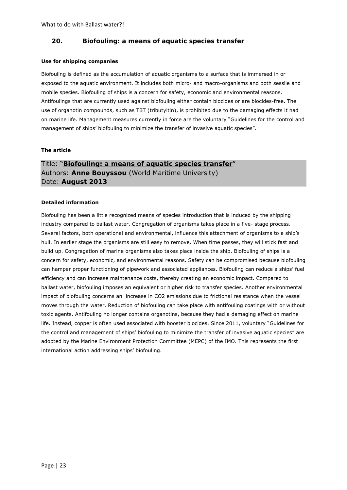### **20. Biofouling: a means of aquatic species transfer**

#### **Use for shipping companies**

Biofouling is defined as the accumulation of aquatic organisms to a surface that is immersed in or exposed to the aquatic environment. It includes both micro- and macro-organisms and both sessile and mobile species. Biofouling of ships is a concern for safety, economic and environmental reasons. Antifoulings that are currently used against biofouling either contain biocides or are biocides-free. The use of organotin compounds, such as TBT (tributyltin), is prohibited due to the damaging effects it had on marine life. Management measures currently in force are the voluntary "Guidelines for the control and management of ships' biofouling to minimize the transfer of invasive aquatic species".

#### **The article**

# Title: "**Biofouling: a means of aquatic species transfer**" Authors: **Anne Bouyssou** (World Maritime University) Date: **August 2013**

#### **Detailed information**

Biofouling has been a little recognized means of species introduction that is induced by the shipping industry compared to ballast water. Congregation of organisms takes place in a five- stage process. Several factors, both operational and environmental, influence this attachment of organisms to a ship's hull. In earlier stage the organisms are still easy to remove. When time passes, they will stick fast and build up. Congregation of marine organisms also takes place inside the ship. Biofouling of ships is a concern for safety, economic, and environmental reasons. Safety can be compromised because biofouling can hamper proper functioning of pipework and associated appliances. Biofouling can reduce a ships' fuel efficiency and can increase maintenance costs, thereby creating an economic impact. Compared to ballast water, biofouling imposes an equivalent or higher risk to transfer species. Another environmental impact of biofouling concerns an increase in CO2 emissions due to frictional resistance when the vessel moves through the water. Reduction of biofouling can take place with antifouling coatings with or without toxic agents. Antifouling no longer contains organotins, because they had a damaging effect on marine life. Instead, copper is often used associated with booster biocides. Since 2011, voluntary "Guidelines for the control and management of ships' biofouling to minimize the transfer of invasive aquatic species" are adopted by the Marine Environment Protection Committee (MEPC) of the IMO. This represents the first international action addressing ships' biofouling.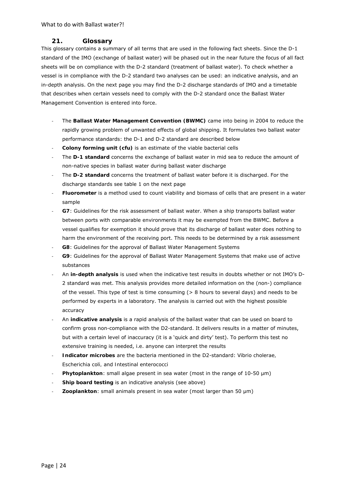## **21. Glossary**

This glossary contains a summary of all terms that are used in the following fact sheets. Since the D-1 standard of the IMO (exchange of ballast water) will be phased out in the near future the focus of all fact sheets will be on compliance with the D-2 standard (treatment of ballast water). To check whether a vessel is in compliance with the D-2 standard two analyses can be used: an indicative analysis, and an in-depth analysis. On the next page you may find the D-2 discharge standards of IMO and a timetable that describes when certain vessels need to comply with the D-2 standard once the Ballast Water Management Convention is entered into force.

- ‐ The **Ballast Water Management Convention (BWMC)** came into being in 2004 to reduce the rapidly growing problem of unwanted effects of global shipping. It formulates two ballast water performance standards: the D-1 and D-2 standard are described below
- ‐ **Colony forming unit (cfu)** is an estimate of the viable bacterial cells
- ‐ The **D-1 standard** concerns the exchange of ballast water in mid sea to reduce the amount of non-native species in ballast water during ballast water discharge
- ‐ The **D-2 standard** concerns the treatment of ballast water before it is discharged. For the discharge standards see table 1 on the next page
- ‐ **Fluorometer** is a method used to count viability and biomass of cells that are present in a water sample
- ‐ **G7**: Guidelines for the risk assessment of ballast water. When a ship transports ballast water between ports with comparable environments it may be exempted from the BWMC. Before a vessel qualifies for exemption it should prove that its discharge of ballast water does nothing to harm the environment of the receiving port. This needs to be determined by a risk assessment
- ‐ **G8**: Guidelines for the approval of Ballast Water Management Systems
- ‐ **G9**: Guidelines for the approval of Ballast Water Management Systems that make use of active substances
- ‐ An **in-depth analysis** is used when the indicative test results in doubts whether or not IMO's D-2 standard was met. This analysis provides more detailed information on the (non-) compliance of the vessel. This type of test is time consuming (> 8 hours to several days) and needs to be performed by experts in a laboratory. The analysis is carried out with the highest possible accuracy
- ‐ An **indicative analysis** is a rapid analysis of the ballast water that can be used on board to confirm gross non-compliance with the D2-standard. It delivers results in a matter of minutes, but with a certain level of inaccuracy (it is a 'quick and dirty' test). To perform this test no extensive training is needed, i.e. anyone can interpret the results
- ‐ **Indicator microbes** are the bacteria mentioned in the D2-standard: *Vibrio cholerae, Escherichia coli,* and *Intestinal enterococci*
- ‐ **Phytoplankton**: small algae present in sea water (most in the range of 10-50 µm)
- Ship board testing is an indicative analysis (see above)
- ‐ **Zooplankton**: small animals present in sea water (most larger than 50 µm)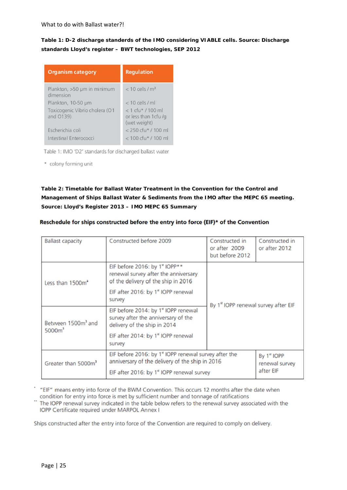**Table 1: D-2 discharge standerds of the IMO considering VIABLE cells. Source: Discharge standards Lloyd's register – BWT technologies, SEP 2012** 

| <b>Organism category</b>                    | <b>Regulation</b>                                            |
|---------------------------------------------|--------------------------------------------------------------|
| Plankton, >50 µm in minimum<br>dimension    | $< 10$ cells / $\text{m}^3$                                  |
| Plankton, 10-50 µm                          | $<$ 10 cells / ml                                            |
| Toxicogenic Vibrio cholera (O1<br>and O139) | $< 1$ cfu* / 100 ml<br>or less than 1 cfu /g<br>(wet weight) |
| Escherichia coli                            | $<$ 250 cfu* / 100 ml                                        |
| Intestinal Enterococci                      | $< 100$ cfu* / 100 ml                                        |

Table 1: IMO 'D2' standards for discharged ballast water

\* colony forming unit

# **Table 2: Timetable for Ballast Water Treatment in the Convention for the Control and Management of Ships Ballast Water & Sediments from the IMO after the MEPC 65 meeting. Source: Lloyd's Register 2013 – IMO MEPC 65 Summary**

| <b>Ballast capacity</b>                              | Constructed before 2009                                                                                                                                                      | Constructed in<br>or after 2009<br>but before 2012 | Constructed in<br>or after 2012            |
|------------------------------------------------------|------------------------------------------------------------------------------------------------------------------------------------------------------------------------------|----------------------------------------------------|--------------------------------------------|
| Less than 1500m <sup>2</sup>                         | EIF before 2016: by 1st IOPP**<br>renewal survey after the anniversary<br>of the delivery of the ship in 2016                                                                | By 1st IOPP renewal survey after EIF               |                                            |
|                                                      | EIF after 2016: by 1 <sup>s</sup> IOPP renewal<br>survey                                                                                                                     |                                                    |                                            |
| Between 1500m <sup>3</sup> and<br>5000m <sup>3</sup> | EIF before 2014: by 1 <sup>st</sup> IOPP renewal<br>survey after the anniversary of the<br>delivery of the ship in 2014                                                      |                                                    |                                            |
|                                                      | EIF after 2014: by 1 <sup>s</sup> IOPP renewal<br>survey                                                                                                                     |                                                    |                                            |
| Greater than 5000m <sup>3</sup>                      | EIF before 2016: by 1 <sup>x</sup> IOPP renewal survey after the<br>anniversary of the delivery of the ship in 2016<br>EIF after 2016: by 1 <sup>s</sup> IOPP renewal survey |                                                    | By 1st IOPP<br>renewal survey<br>after EIF |

#### Reschedule for ships constructed before the entry into force (EIF)\* of the Convention

\* "EIF" means entry into force of the BWM Convention. This occurs 12 months after the date when condition for entry into force is met by sufficient number and tonnage of ratifications

The IOPP renewal survey indicated in the table below refers to the renewal survey associated with the IOPP Certificate required under MARPOL Annex I

Ships constructed after the entry into force of the Convention are required to comply on delivery.